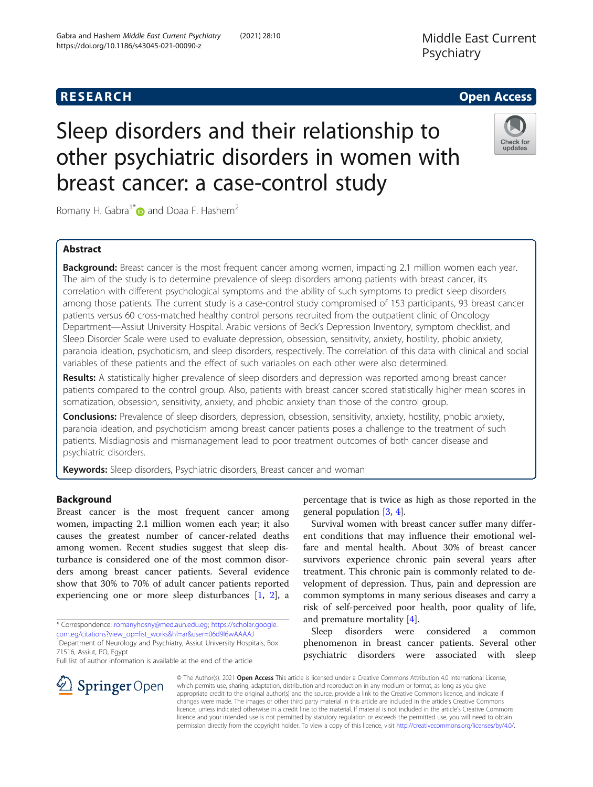breast cancer: a case-control study

other psychiatric disorders in women with

Middle East Current Psychiatry



Romany H. Gabra<sup>1\*</sup> and Doaa F. Hashem<sup>2</sup>

Gabra and Hashem Middle East Current Psychiatry (2021) 28:10

https://doi.org/10.1186/s43045-021-00090-z

# Abstract

Background: Breast cancer is the most frequent cancer among women, impacting 2.1 million women each year. The aim of the study is to determine prevalence of sleep disorders among patients with breast cancer, its correlation with different psychological symptoms and the ability of such symptoms to predict sleep disorders among those patients. The current study is a case-control study compromised of 153 participants, 93 breast cancer patients versus 60 cross-matched healthy control persons recruited from the outpatient clinic of Oncology Department—Assiut University Hospital. Arabic versions of Beck's Depression Inventory, symptom checklist, and Sleep Disorder Scale were used to evaluate depression, obsession, sensitivity, anxiety, hostility, phobic anxiety, paranoia ideation, psychoticism, and sleep disorders, respectively. The correlation of this data with clinical and social variables of these patients and the effect of such variables on each other were also determined.

Results: A statistically higher prevalence of sleep disorders and depression was reported among breast cancer patients compared to the control group. Also, patients with breast cancer scored statistically higher mean scores in somatization, obsession, sensitivity, anxiety, and phobic anxiety than those of the control group.

Conclusions: Prevalence of sleep disorders, depression, obsession, sensitivity, anxiety, hostility, phobic anxiety, paranoia ideation, and psychoticism among breast cancer patients poses a challenge to the treatment of such patients. Misdiagnosis and mismanagement lead to poor treatment outcomes of both cancer disease and psychiatric disorders.

Keywords: Sleep disorders, Psychiatric disorders, Breast cancer and woman

# Background

Breast cancer is the most frequent cancer among women, impacting 2.1 million women each year; it also causes the greatest number of cancer-related deaths among women. Recent studies suggest that sleep disturbance is considered one of the most common disorders among breast cancer patients. Several evidence show that 30% to 70% of adult cancer patients reported experiencing one or more sleep disturbances [[1,](#page-8-0) [2\]](#page-8-0), a

\* Correspondence: [romanyhosny@med.aun.edu.eg;](mailto:romanyhosny@med.aun.edu.eg) [https://scholar.google.](https://scholar.google.com.eg/citations?view_op=list_works&hl=ar&user=06d9I6wAAAAJ) [com.eg/citations?view\\_op=list\\_works&hl=ar&user=06d9I6wAAAAJ](https://scholar.google.com.eg/citations?view_op=list_works&hl=ar&user=06d9I6wAAAAJ)

<sup>1</sup>Department of Neurology and Psychiatry, Assiut University Hospitals, Box 71516, Assiut, PO, Egypt

Full list of author information is available at the end of the article

 $\perp$  Springer Open

percentage that is twice as high as those reported in the general population [\[3](#page-8-0), [4](#page-8-0)].

Survival women with breast cancer suffer many different conditions that may influence their emotional welfare and mental health. About 30% of breast cancer survivors experience chronic pain several years after treatment. This chronic pain is commonly related to development of depression. Thus, pain and depression are common symptoms in many serious diseases and carry a risk of self-perceived poor health, poor quality of life, and premature mortality [\[4](#page-8-0)].

Sleep disorders were considered a common phenomenon in breast cancer patients. Several other psychiatric disorders were associated with sleep

© The Author(s). 2021 Open Access This article is licensed under a Creative Commons Attribution 4.0 International License, which permits use, sharing, adaptation, distribution and reproduction in any medium or format, as long as you give appropriate credit to the original author(s) and the source, provide a link to the Creative Commons licence, and indicate if changes were made. The images or other third party material in this article are included in the article's Creative Commons licence, unless indicated otherwise in a credit line to the material. If material is not included in the article's Creative Commons licence and your intended use is not permitted by statutory regulation or exceeds the permitted use, you will need to obtain permission directly from the copyright holder. To view a copy of this licence, visit <http://creativecommons.org/licenses/by/4.0/>.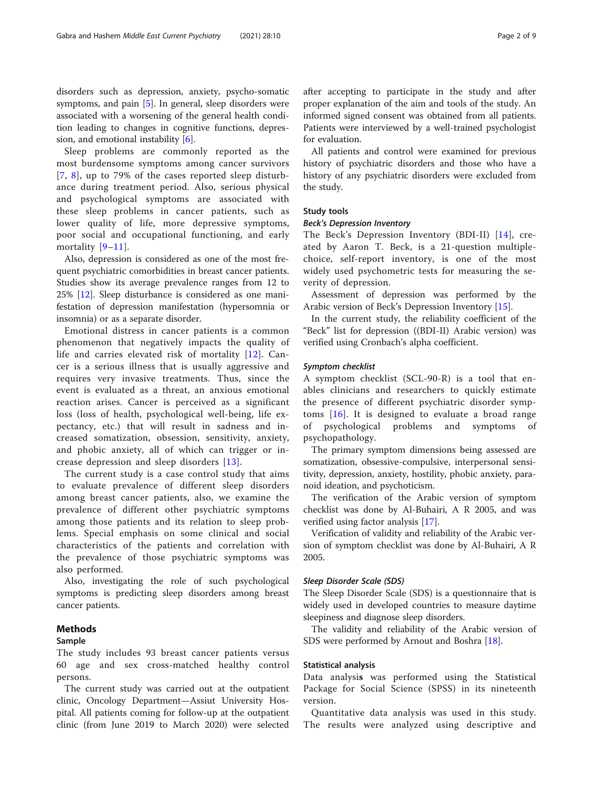disorders such as depression, anxiety, psycho-somatic symptoms, and pain [\[5](#page-8-0)]. In general, sleep disorders were associated with a worsening of the general health condition leading to changes in cognitive functions, depression, and emotional instability [\[6](#page-8-0)].

Sleep problems are commonly reported as the most burdensome symptoms among cancer survivors [[7](#page-8-0), [8\]](#page-8-0), up to 79% of the cases reported sleep disturbance during treatment period. Also, serious physical and psychological symptoms are associated with these sleep problems in cancer patients, such as lower quality of life, more depressive symptoms, poor social and occupational functioning, and early mortality [[9](#page-8-0)–[11](#page-8-0)].

Also, depression is considered as one of the most frequent psychiatric comorbidities in breast cancer patients. Studies show its average prevalence ranges from 12 to 25% [[12](#page-8-0)]. Sleep disturbance is considered as one manifestation of depression manifestation (hypersomnia or insomnia) or as a separate disorder.

Emotional distress in cancer patients is a common phenomenon that negatively impacts the quality of life and carries elevated risk of mortality [[12](#page-8-0)]. Cancer is a serious illness that is usually aggressive and requires very invasive treatments. Thus, since the event is evaluated as a threat, an anxious emotional reaction arises. Cancer is perceived as a significant loss (loss of health, psychological well-being, life expectancy, etc.) that will result in sadness and increased somatization, obsession, sensitivity, anxiety, and phobic anxiety, all of which can trigger or increase depression and sleep disorders [\[13\]](#page-8-0).

The current study is a case control study that aims to evaluate prevalence of different sleep disorders among breast cancer patients, also, we examine the prevalence of different other psychiatric symptoms among those patients and its relation to sleep problems. Special emphasis on some clinical and social characteristics of the patients and correlation with the prevalence of those psychiatric symptoms was also performed.

Also, investigating the role of such psychological symptoms is predicting sleep disorders among breast cancer patients.

## Methods

#### Sample

The study includes 93 breast cancer patients versus 60 age and sex cross-matched healthy control persons.

The current study was carried out at the outpatient clinic, Oncology Department—Assiut University Hospital. All patients coming for follow-up at the outpatient clinic (from June 2019 to March 2020) were selected after accepting to participate in the study and after proper explanation of the aim and tools of the study. An informed signed consent was obtained from all patients. Patients were interviewed by a well-trained psychologist for evaluation.

All patients and control were examined for previous history of psychiatric disorders and those who have a history of any psychiatric disorders were excluded from the study.

## Study tools

#### Beck's Depression Inventory

The Beck's Depression Inventory (BDI-II) [[14\]](#page-8-0), created by Aaron T. Beck, is a 21-question multiplechoice, self-report inventory, is one of the most widely used psychometric tests for measuring the severity of depression.

Assessment of depression was performed by the Arabic version of Beck's Depression Inventory [\[15](#page-8-0)].

In the current study, the reliability coefficient of the "Beck" list for depression ((BDI-II) Arabic version) was verified using Cronbach's alpha coefficient.

## Symptom checklist

A symptom checklist (SCL-90-R) is a tool that enables clinicians and researchers to quickly estimate the presence of different psychiatric disorder symptoms  $[16]$ . It is designed to evaluate a broad range of psychological problems and symptoms of psychopathology.

The primary symptom dimensions being assessed are somatization, obsessive-compulsive, interpersonal sensitivity, depression, anxiety, hostility, phobic anxiety, paranoid ideation, and psychoticism.

The verification of the Arabic version of symptom checklist was done by Al-Buhairi, A R 2005, and was verified using factor analysis [[17](#page-8-0)].

Verification of validity and reliability of the Arabic version of symptom checklist was done by Al-Buhairi, A R 2005.

### Sleep Disorder Scale (SDS)

The Sleep Disorder Scale (SDS) is a questionnaire that is widely used in developed countries to measure daytime sleepiness and diagnose sleep disorders.

The validity and reliability of the Arabic version of SDS were performed by Arnout and Boshra [\[18\]](#page-8-0).

# Statistical analysis

Data analysis was performed using the Statistical Package for Social Science (SPSS) in its nineteenth version.

Quantitative data analysis was used in this study. The results were analyzed using descriptive and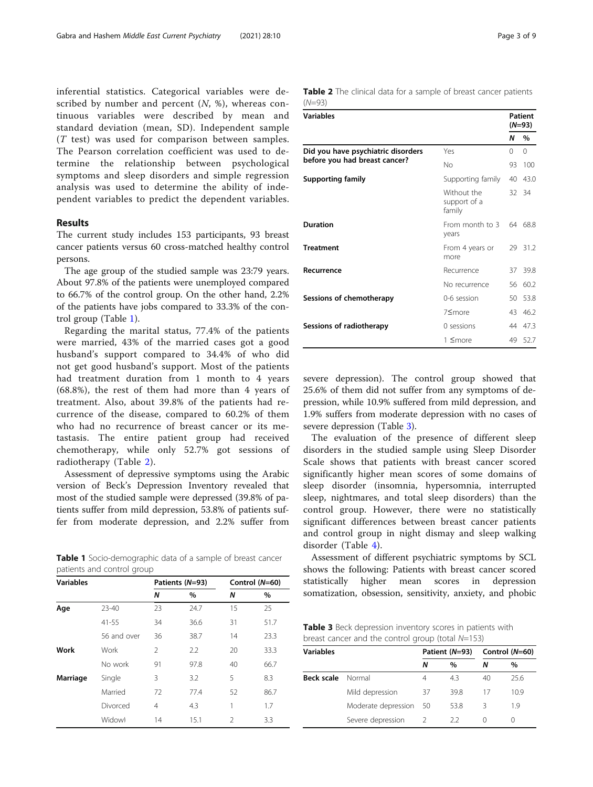inferential statistics. Categorical variables were described by number and percent  $(N, %)$ , whereas continuous variables were described by mean and standard deviation (mean, SD). Independent sample (T test) was used for comparison between samples. The Pearson correlation coefficient was used to determine the relationship between psychological symptoms and sleep disorders and simple regression analysis was used to determine the ability of independent variables to predict the dependent variables.

# Results

The current study includes 153 participants, 93 breast cancer patients versus 60 cross-matched healthy control persons.

The age group of the studied sample was 23:79 years. About 97.8% of the patients were unemployed compared to 66.7% of the control group. On the other hand, 2.2% of the patients have jobs compared to 33.3% of the control group (Table 1).

Regarding the marital status, 77.4% of the patients were married, 43% of the married cases got a good husband's support compared to 34.4% of who did not get good husband's support. Most of the patients had treatment duration from 1 month to 4 years (68.8%), the rest of them had more than 4 years of treatment. Also, about 39.8% of the patients had recurrence of the disease, compared to 60.2% of them who had no recurrence of breast cancer or its metastasis. The entire patient group had received chemotherapy, while only 52.7% got sessions of radiotherapy (Table 2).

Assessment of depressive symptoms using the Arabic version of Beck's Depression Inventory revealed that most of the studied sample were depressed (39.8% of patients suffer from mild depression, 53.8% of patients suffer from moderate depression, and 2.2% suffer from

Table 1 Socio-demographic data of a sample of breast cancer patients and control group

| <b>Variables</b> |             |                | Patients (N=93) |    | Control (N=60) |
|------------------|-------------|----------------|-----------------|----|----------------|
|                  |             | N              | %               | Ν  | %              |
| Age              | $23 - 40$   | 23             | 24.7            | 15 | 25             |
|                  | $41 - 55$   | 34             | 36.6            | 31 | 51.7           |
|                  | 56 and over | 36             | 38.7            | 14 | 23.3           |
| Work             | Work        | $\mathfrak{D}$ | 2.2             | 20 | 33.3           |
|                  | No work     | 91             | 97.8            | 40 | 66.7           |
| Marriage         | Single      | 3              | 3.2             | 5  | 8.3            |
|                  | Married     | 72             | 77.4            | 52 | 86.7           |
|                  | Divorced    | $\overline{4}$ | 4.3             | 1  | 1.7            |
|                  | Widowl      | 14             | 15.1            | 2  | 3.3            |

| Table 2 The clinical data for a sample of breast cancer patients |  |  |  |  |  |
|------------------------------------------------------------------|--|--|--|--|--|
| (N=93)                                                           |  |  |  |  |  |

| <b>Variables</b>                   |                                                 |          | Patient<br>(N=93) |
|------------------------------------|-------------------------------------------------|----------|-------------------|
|                                    |                                                 | N        | $\%$              |
| Did you have psychiatric disorders | Yes                                             | $\Omega$ | $\Omega$          |
| before you had breast cancer?      | No                                              | 93       | 100               |
| <b>Supporting family</b>           | Supporting family                               | 40       | 43.0              |
|                                    | Without the<br>support of a<br>family           | 32.      | -34               |
| <b>Duration</b>                    | From month to 3<br>years                        | 64       | 68.8              |
| <b>Treatment</b>                   | From 4 years or<br>more                         |          | 29 31.2           |
| Recurrence                         | Recurrence                                      | 37       | 39.8              |
|                                    | No recurrence                                   |          | 56 60.2           |
| Sessions of chemotherapy           | 0-6 session                                     | 50       | 53.8              |
|                                    | 7 <more< td=""><td>43</td><td>46.2</td></more<> | 43       | 46.2              |
| Sessions of radiotherapy           | 0 sessions                                      | 44       | 47.3              |
|                                    | 1 ≤more                                         | 49       | 52.7              |

severe depression). The control group showed that 25.6% of them did not suffer from any symptoms of depression, while 10.9% suffered from mild depression, and 1.9% suffers from moderate depression with no cases of severe depression (Table 3).

The evaluation of the presence of different sleep disorders in the studied sample using Sleep Disorder Scale shows that patients with breast cancer scored significantly higher mean scores of some domains of sleep disorder (insomnia, hypersomnia, interrupted sleep, nightmares, and total sleep disorders) than the control group. However, there were no statistically significant differences between breast cancer patients and control group in night dismay and sleep walking disorder (Table [4\)](#page-3-0).

Assessment of different psychiatric symptoms by SCL shows the following: Patients with breast cancer scored statistically higher mean scores in depression somatization, obsession, sensitivity, anxiety, and phobic

Table 3 Beck depression inventory scores in patients with breast cancer and the control group (total N=153)

| <b>Variables</b>  |                     |     | Patient (N=93) |    | Control (N=60) |  |  |
|-------------------|---------------------|-----|----------------|----|----------------|--|--|
|                   |                     | Ν   | $\%$           | Ν  | $\%$           |  |  |
| <b>Beck scale</b> | Normal              | 4   | 4.3            | 40 | 256            |  |  |
|                   | Mild depression     | 37  | 398            | 17 | 109            |  |  |
|                   | Moderate depression | -50 | 53.8           | ζ  | 19             |  |  |
|                   | Severe depression   |     | 22             |    | O              |  |  |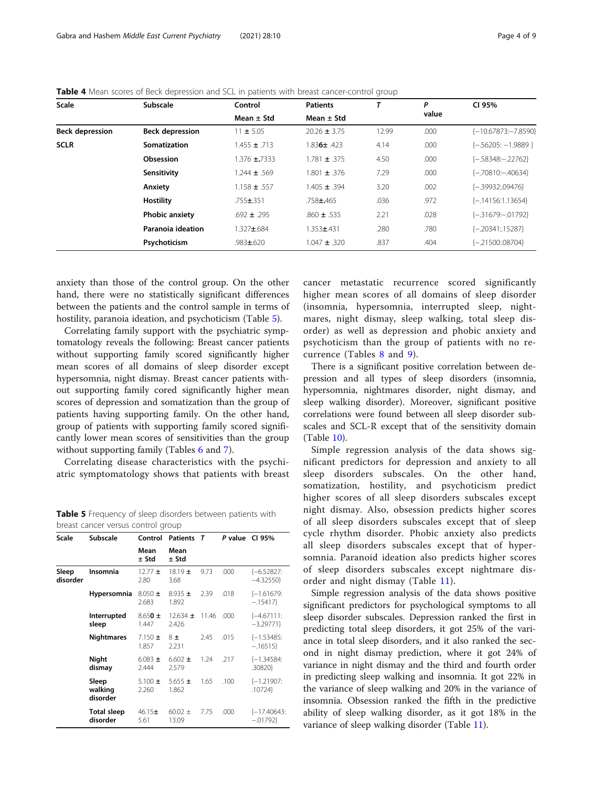| <b>Scale</b>           | Subscale               | Control          | <b>Patients</b>  |       | Ρ     | CI 95%                  |
|------------------------|------------------------|------------------|------------------|-------|-------|-------------------------|
|                        |                        | Mean $\pm$ Std   | Mean $\pm$ Std   |       | value |                         |
| <b>Beck depression</b> | <b>Beck depression</b> | $11 \pm 5.05$    | $20.26 \pm 3.75$ | 12.99 | .000  | $\{-10.67873:-7.8590\}$ |
| <b>SCLR</b>            | Somatization           | $1.455 \pm .713$ | $1.836 \pm .423$ | 4.14  | .000  | $\{-.56205: -1.9889\}$  |
|                        | Obsession              | $1.376 \pm 7333$ | $1.781 \pm .375$ | 4.50  | .000  | $\{-58348:-.22762\}$    |
|                        | Sensitivity            | 1.244 ± .569     | 1.801 $\pm$ 376  | 7.29  | .000  | $\{-70810 - 40634\}$    |
|                        | Anxiety                | $1.158 \pm .557$ | $1.405 \pm .394$ | 3.20  | .002  | {-.39932:.09476}        |
|                        | Hostility              | $.755 \pm 351$   | $.758 \pm .465$  | .036  | .972  | $\{-14156:1.13654\}$    |
|                        | <b>Phobic anxiety</b>  | $.692 \pm .295$  | $.860 \pm .535$  | 2.21  | .028  | $\{-31679:-01792\}$     |
|                        | Paranoia ideation      | 1.327±.684       | $1.353 + 431$    | .280  | .780  | {-.20341:15287}         |
|                        | Psychoticism           | $.983 \pm 0.620$ | $1.047 \pm .320$ | .837  | .404  | $\{-21500:08704\}$      |

<span id="page-3-0"></span>Table 4 Mean scores of Beck depression and SCL in patients with breast cancer-control group

anxiety than those of the control group. On the other hand, there were no statistically significant differences between the patients and the control sample in terms of hostility, paranoia ideation, and psychoticism (Table 5).

Correlating family support with the psychiatric symptomatology reveals the following: Breast cancer patients without supporting family scored significantly higher mean scores of all domains of sleep disorder except hypersomnia, night dismay. Breast cancer patients without supporting family cored significantly higher mean scores of depression and somatization than the group of patients having supporting family. On the other hand, group of patients with supporting family scored significantly lower mean scores of sensitivities than the group without supporting family (Tables [6](#page-4-0) and [7\)](#page-4-0).

Correlating disease characteristics with the psychiatric symptomatology shows that patients with breast

Table 5 Frequency of sleep disorders between patients with breast cancer versus control group

| Scale             | Subscale                       | Control              | <b>Patients</b>       | т     | P value | CI 95%                       |
|-------------------|--------------------------------|----------------------|-----------------------|-------|---------|------------------------------|
|                   |                                | Mean<br>$±$ Std      | Mean<br>$±$ Std       |       |         |                              |
| Sleep<br>disorder | <b>Insomnia</b>                | $12.77 \pm$<br>2.80  | $18.19 \pm$<br>3.68   | 9.73  | .000    | $[-6.52827]$<br>$-4.32550$   |
|                   | Hypersomnia                    | $8.050 \pm$<br>2.683 | $8.935 \pm$<br>1.892  | 2.39  | .018    | $\{-1.61679:$<br>$-.15417$   |
|                   | Interrupted<br>sleep           | $8.650 \pm$<br>1.447 | $12.634 \pm$<br>2.426 | 11.46 | .000    | $\{-4.67111:$<br>$-3.29771$  |
|                   | <b>Nightmares</b>              | 7.150 $\pm$<br>1.857 | 8±<br>2.231           | 2.45  | .015    | $\{-1.53485:$<br>$-.16515$   |
|                   | Night<br>dismay                | 6.083 $\pm$<br>2.444 | $6.602 \pm$<br>2.579  | 1.24  | .217    | $\{-1.34584:$<br>.30820}     |
|                   | Sleep<br>walking<br>disorder   | 5.100 $\pm$<br>2.260 | $5.655 \pm$<br>1.862  | 1.65  | .100    | $\{-1.21907:$<br>.10724}     |
|                   | <b>Total sleep</b><br>disorder | $46.15+$<br>5.61     | $60.02 \pm$<br>13.09  | 7.75  | .000    | $\{-17,40643:$<br>$-0.01792$ |

cancer metastatic recurrence scored significantly higher mean scores of all domains of sleep disorder (insomnia, hypersomnia, interrupted sleep, nightmares, night dismay, sleep walking, total sleep disorder) as well as depression and phobic anxiety and psychoticism than the group of patients with no recurrence (Tables [8](#page-5-0) and [9\)](#page-5-0).

There is a significant positive correlation between depression and all types of sleep disorders (insomnia, hypersomnia, nightmares disorder, night dismay, and sleep walking disorder). Moreover, significant positive correlations were found between all sleep disorder subscales and SCL-R except that of the sensitivity domain (Table [10\)](#page-6-0).

Simple regression analysis of the data shows significant predictors for depression and anxiety to all sleep disorders subscales. On the other hand, somatization, hostility, and psychoticism predict higher scores of all sleep disorders subscales except night dismay. Also, obsession predicts higher scores of all sleep disorders subscales except that of sleep cycle rhythm disorder. Phobic anxiety also predicts all sleep disorders subscales except that of hypersomnia. Paranoid ideation also predicts higher scores of sleep disorders subscales except nightmare disorder and night dismay (Table [11](#page-6-0)).

Simple regression analysis of the data shows positive significant predictors for psychological symptoms to all sleep disorder subscales. Depression ranked the first in predicting total sleep disorders, it got 25% of the variance in total sleep disorders, and it also ranked the second in night dismay prediction, where it got 24% of variance in night dismay and the third and fourth order in predicting sleep walking and insomnia. It got 22% in the variance of sleep walking and 20% in the variance of insomnia. Obsession ranked the fifth in the predictive ability of sleep walking disorder, as it got 18% in the variance of sleep walking disorder (Table [11](#page-6-0)).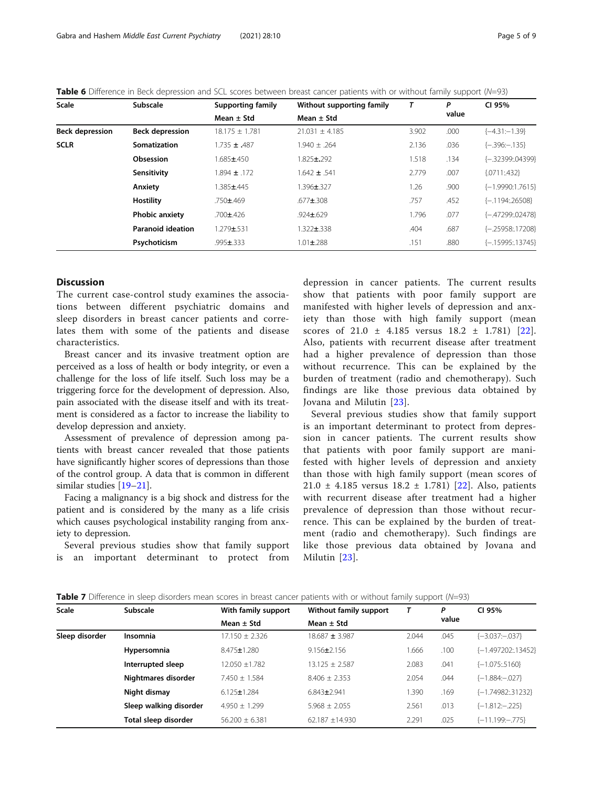| <b>Scale</b>           | Subscale                 | <b>Supporting family</b> | Without supporting family | T     | P     | CI 95%               |
|------------------------|--------------------------|--------------------------|---------------------------|-------|-------|----------------------|
|                        |                          | Mean $\pm$ Std           | Mean $\pm$ Std            |       | value |                      |
| <b>Beck depression</b> | <b>Beck depression</b>   | $18.175 \pm 1.781$       | $21.031 + 4.185$          | 3.902 | .000  | $\{-4.31:-1.39\}$    |
| <b>SCLR</b>            | Somatization             | $1.735 \pm .487$         | $1.940 + .264$            | 2.136 | .036  | $\{-396:-.135\}$     |
|                        | Obsession                | 1.685±450                | $1.825 \pm 0.292$         | 1.518 | .134  | {-.32399:.04399}     |
|                        | Sensitivity              | $1.894 \pm .172$         | $1.642 \pm .541$          | 2.779 | .007  | ${0711:432}$         |
|                        | Anxiety                  | 1.385±.445               | 1.396±.327                | 1.26  | .900  | $\{-1.9990:1.7615\}$ |
|                        | Hostility                | $.750 \pm 0.469$         | $.677 + .308$             | .757  | .452  | $\{-1194:26508\}$    |
|                        | <b>Phobic anxiety</b>    | $.700 \pm 426$           | $.924 \pm .629$           | 1.796 | .077  | {-.47299:.02478}     |
|                        | <b>Paranoid ideation</b> | $1.279 + 531$            | $.322 \pm .338$           | .404  | .687  | {-.25958:17208}      |
|                        | Psychoticism             | $.995 \pm .333$          | $1.01 \pm 0.288$          | .151  | .880  | $\{-15995::13745\}$  |

<span id="page-4-0"></span>Table 6 Difference in Beck depression and SCL scores between breast cancer patients with or without family support (N=93)

# **Discussion**

The current case-control study examines the associations between different psychiatric domains and sleep disorders in breast cancer patients and correlates them with some of the patients and disease characteristics.

Breast cancer and its invasive treatment option are perceived as a loss of health or body integrity, or even a challenge for the loss of life itself. Such loss may be a triggering force for the development of depression. Also, pain associated with the disease itself and with its treatment is considered as a factor to increase the liability to develop depression and anxiety.

Assessment of prevalence of depression among patients with breast cancer revealed that those patients have significantly higher scores of depressions than those of the control group. A data that is common in different similar studies [[19](#page-8-0)–[21](#page-8-0)].

Facing a malignancy is a big shock and distress for the patient and is considered by the many as a life crisis which causes psychological instability ranging from anxiety to depression.

Several previous studies show that family support is an important determinant to protect from depression in cancer patients. The current results show that patients with poor family support are manifested with higher levels of depression and anxiety than those with high family support (mean scores of  $21.0 \pm 4.185$  versus  $18.2 \pm 1.781$  [[22](#page-8-0)]. Also, patients with recurrent disease after treatment had a higher prevalence of depression than those without recurrence. This can be explained by the burden of treatment (radio and chemotherapy). Such findings are like those previous data obtained by Jovana and Milutin [\[23\]](#page-8-0).

Several previous studies show that family support is an important determinant to protect from depression in cancer patients. The current results show that patients with poor family support are manifested with higher levels of depression and anxiety than those with high family support (mean scores of  $21.0 \pm 4.185$  versus  $18.2 \pm 1.781$  [\[22\]](#page-8-0). Also, patients with recurrent disease after treatment had a higher prevalence of depression than those without recurrence. This can be explained by the burden of treatment (radio and chemotherapy). Such findings are like those previous data obtained by Jovana and Milutin [[23](#page-8-0)].

| Table 7 Difference in sleep disorders mean scores in breast cancer patients with or without family support (N=93) |  |  |  |  |  |  |  |  |  |  |  |  |  |  |
|-------------------------------------------------------------------------------------------------------------------|--|--|--|--|--|--|--|--|--|--|--|--|--|--|
|-------------------------------------------------------------------------------------------------------------------|--|--|--|--|--|--|--|--|--|--|--|--|--|--|

| <b>Scale</b>   | Subscale               | With family support | Without family support |       | P     | CI 95%                 |
|----------------|------------------------|---------------------|------------------------|-------|-------|------------------------|
|                |                        | Mean $\pm$ Std      | Mean $\pm$ Std         |       | value |                        |
| Sleep disorder | Insomnia               | $17.150 + 2.326$    | $18.687 \pm 3.987$     | 2.044 | .045  | $\{-3.037:-.037\}$     |
|                | Hypersomnia            | 8.475±1.280         | $9.156 \pm 2.156$      | 1.666 | .100  | {-1.497202:.13452}     |
|                | Interrupted sleep      | $12.050 + 1.782$    | $13.125 + 2.587$       | 2.083 | .041  | $\{-1.075\ldots5160\}$ |
|                | Nightmares disorder    | $7.450 \pm 1.584$   | $8.406 + 2.353$        | 2.054 | .044  | $\{-1.884:-.027\}$     |
|                | Night dismay           | $6.125 \pm 1.284$   | $6.843 \pm 2.941$      | 1.390 | .169  | $\{-1.74982::31232\}$  |
|                | Sleep walking disorder | $4.950 + 1.299$     | $5.968 + 2.055$        | 2.561 | .013  | $\{-1.812:-.225\}$     |
|                | Total sleep disorder   | $56.200 \pm 6.381$  | 62.187 $\pm$ 14.930    | 2.291 | .025  | $\{-11.199:-.775\}$    |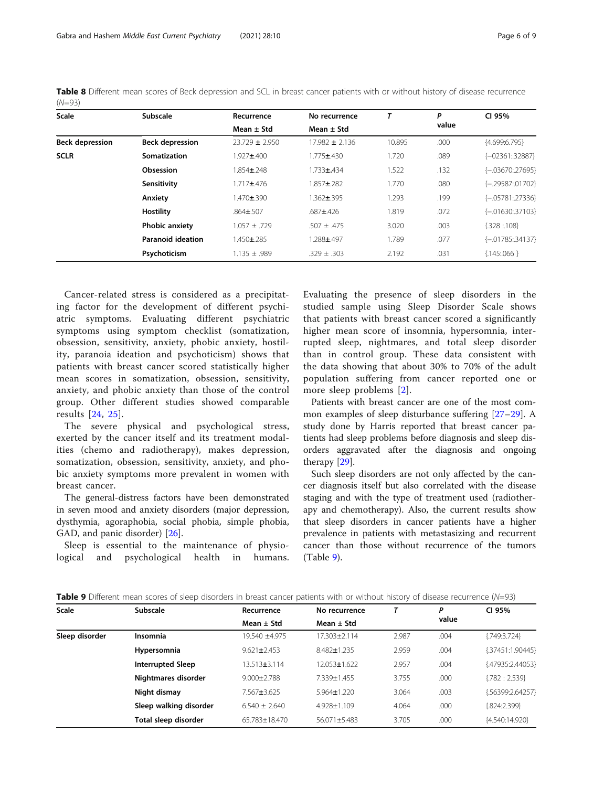| いい シンノ                 |                          |                    |                    |        |       |                    |
|------------------------|--------------------------|--------------------|--------------------|--------|-------|--------------------|
| <b>Scale</b>           | Subscale                 | Recurrence         | No recurrence      | т      | P     | CI 95%             |
|                        |                          | Mean $\pm$ Std     | Mean $\pm$ Std     |        | value |                    |
| <b>Beck depression</b> | <b>Beck depression</b>   | $23.729 \pm 2.950$ | $17.982 \pm 2.136$ | 10.895 | .000  | ${4.699:6.795}$    |
| <b>SCLR</b>            | Somatization             | 1.927±.400         | $1.775 + .430$     | 1.720  | .089  | {-02361:32887}     |
|                        | Obsession                | 1.854±.248         | $1.733 \pm .434$   | 1.522  | .132  | $[-.03670:.27695]$ |
|                        | Sensitivity              | $1.717 + .476$     | 1.857±.282         | 1.770  | .080  | $[-.29587:01702]$  |
|                        | Anxiety                  | 1.470±.390         | 1.362±.395         | 1.293  | .199  | $[-.05781:.27336]$ |
|                        | <b>Hostility</b>         | $.864 \pm .507$    | $.687 + .426$      | 1.819  | .072  | $[-.01630:.37103]$ |
|                        | <b>Phobic anxiety</b>    | $1.057 \pm .729$   | $.507 \pm .475$    | 3.020  | .003  | ${328:108}$        |
|                        | <b>Paranoid ideation</b> | 1.450±.285         | 1.288±.497         | 1.789  | .077  | $[-.01785:.34137]$ |
|                        | Psychoticism             | $1.135 + 989$      | $.329 + .303$      | 2.192  | .031  | ${1,145:066}$      |

<span id="page-5-0"></span>Table 8 Different mean scores of Beck depression and SCL in breast cancer patients with or without history of disease recurrence  $(M=02)$ 

Cancer-related stress is considered as a precipitating factor for the development of different psychiatric symptoms. Evaluating different psychiatric symptoms using symptom checklist (somatization, obsession, sensitivity, anxiety, phobic anxiety, hostility, paranoia ideation and psychoticism) shows that patients with breast cancer scored statistically higher mean scores in somatization, obsession, sensitivity, anxiety, and phobic anxiety than those of the control group. Other different studies showed comparable results [[24](#page-8-0), [25\]](#page-8-0).

The severe physical and psychological stress, exerted by the cancer itself and its treatment modalities (chemo and radiotherapy), makes depression, somatization, obsession, sensitivity, anxiety, and phobic anxiety symptoms more prevalent in women with breast cancer.

The general-distress factors have been demonstrated in seven mood and anxiety disorders (major depression, dysthymia, agoraphobia, social phobia, simple phobia, GAD, and panic disorder) [[26\]](#page-8-0).

Sleep is essential to the maintenance of physiological and psychological health in humans. Evaluating the presence of sleep disorders in the studied sample using Sleep Disorder Scale shows that patients with breast cancer scored a significantly higher mean score of insomnia, hypersomnia, interrupted sleep, nightmares, and total sleep disorder than in control group. These data consistent with the data showing that about 30% to 70% of the adult population suffering from cancer reported one or more sleep problems [[2\]](#page-8-0).

Patients with breast cancer are one of the most common examples of sleep disturbance suffering [\[27](#page-8-0)–[29\]](#page-8-0). A study done by Harris reported that breast cancer patients had sleep problems before diagnosis and sleep disorders aggravated after the diagnosis and ongoing therapy [\[29](#page-8-0)].

Such sleep disorders are not only affected by the cancer diagnosis itself but also correlated with the disease staging and with the type of treatment used (radiotherapy and chemotherapy). Also, the current results show that sleep disorders in cancer patients have a higher prevalence in patients with metastasizing and recurrent cancer than those without recurrence of the tumors (Table 9).

| Scale          | Subscale                 | Recurrence         | No recurrence      |       | Ρ     | CI 95%            |
|----------------|--------------------------|--------------------|--------------------|-------|-------|-------------------|
|                |                          | Mean $\pm$ Std     | Mean $\pm$ Std     |       | value |                   |
| Sleep disorder | Insomnia                 | 19.540 +4.975      | 17.303+2.114       | 2.987 | .004  | ${749:3.724}$     |
|                | Hypersomnia              | $9.621 \pm 2.453$  | $8.482 \pm 1.235$  | 2.959 | .004  | ${37451:1.90445}$ |
|                | <b>Interrupted Sleep</b> | $13.513 \pm 3.114$ | $12.053 \pm 1.622$ | 2.957 | .004  | {.47935:2.44053}  |
|                | Nightmares disorder      | $9.000 + 2.788$    | 7.339+1.455        | 3.755 | .000  | ${782 : 2.539}$   |
|                | Night dismay             | 7.567±3.625        | $5.964 \pm 1.220$  | 3.064 | .003  | {.56399:2.64257}  |
|                | Sleep walking disorder   | $6.540 + 2.640$    | 4.928±1.109        | 4.064 | .000  | ${.824:2.399}$    |
|                | Total sleep disorder     | 65.783+18.470      | $56.071 + 5.483$   | 3.705 | .000  | {4.540:14.920}    |

Table 9 Different mean scores of sleep disorders in breast cancer patients with or without history of disease recurrence (N=93)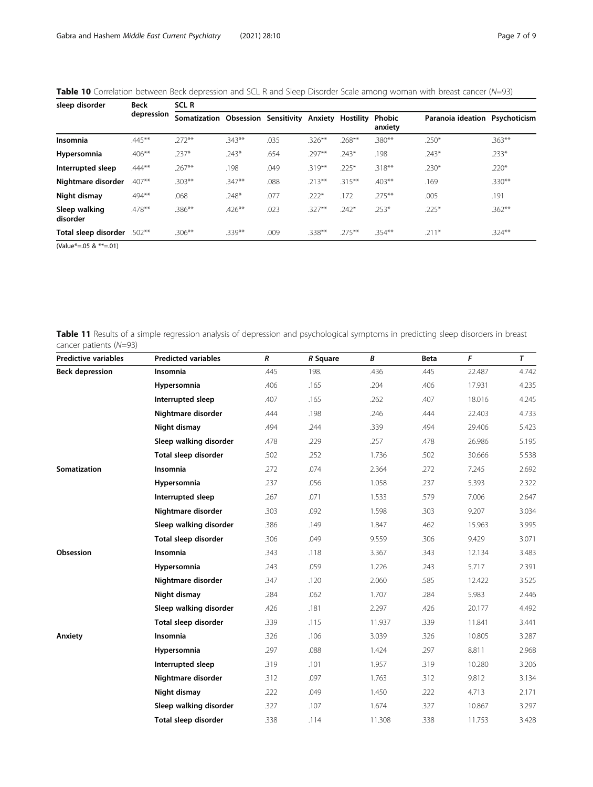<span id="page-6-0"></span>Table 10 Correlation between Beck depression and SCL R and Sleep Disorder Scale among woman with breast cancer (N=93)

| sleep disorder            | <b>Beck</b> | <b>SCLR</b>                        |           |      |           |           |                   |                   |              |  |
|---------------------------|-------------|------------------------------------|-----------|------|-----------|-----------|-------------------|-------------------|--------------|--|
|                           | depression  | Somatization Obsession Sensitivity |           |      | Anxiety   | Hostility | Phobic<br>anxiety | Paranoia ideation | Psychoticism |  |
| <b>Insomnia</b>           | $.445***$   | $.272**$                           | $.343**$  | .035 | $.326***$ | .268**    | $.380**$          | $.250*$           | $.363**$     |  |
| Hypersomnia               | $.406***$   | $.237*$                            | $.243*$   | .654 | .297**    | $.243*$   | .198              | $.243*$           | $.233*$      |  |
| Interrupted sleep         | $.444***$   | $.267***$                          | .198      | .049 | $.319***$ | $.225*$   | $.318***$         | $.230*$           | $.220*$      |  |
| Nightmare disorder        | $.407**$    | $.303***$                          | $.347**$  | .088 | $.213***$ | $.315***$ | $.403**$          | .169              | $.330**$     |  |
| Night dismay              | $.494***$   | .068                               | $.248*$   | .077 | $.222*$   | .172      | $.275***$         | .005              | .191         |  |
| Sleep walking<br>disorder | $.478***$   | $.386***$                          | $.426***$ | .023 | $.327**$  | $.242*$   | $.253*$           | $.225*$           | $.362***$    |  |
| Total sleep disorder      | $.502***$   | $.306***$                          | $.339***$ | .009 | .338**    | $.275***$ | $.354***$         | $.211*$           | $.324***$    |  |

(Value\*=.05 & \*\*=.01)

Table 11 Results of a simple regression analysis of depression and psychological symptoms in predicting sleep disorders in breast cancer patients (N=93)

| <b>Predictive variables</b> | <b>Predicted variables</b> | R    | R Square | В      | <b>Beta</b> | F      | T     |
|-----------------------------|----------------------------|------|----------|--------|-------------|--------|-------|
| <b>Beck depression</b>      | Insomnia                   | .445 | 198.     | .436   | .445        | 22.487 | 4.742 |
|                             | Hypersomnia                | .406 | .165     | .204   | .406        | 17.931 | 4.235 |
|                             | Interrupted sleep          | .407 | .165     | .262   | .407        | 18.016 | 4.245 |
|                             | Nightmare disorder         | .444 | .198     | .246   | .444        | 22.403 | 4.733 |
|                             | Night dismay               | .494 | .244     | .339   | .494        | 29.406 | 5.423 |
|                             | Sleep walking disorder     | .478 | .229     | .257   | .478        | 26.986 | 5.195 |
|                             | Total sleep disorder       | .502 | .252     | 1.736  | .502        | 30.666 | 5.538 |
| Somatization                | Insomnia                   | .272 | .074     | 2.364  | .272        | 7.245  | 2.692 |
|                             | Hypersomnia                | .237 | .056     | 1.058  | .237        | 5.393  | 2.322 |
|                             | Interrupted sleep          | .267 | .071     | 1.533  | .579        | 7.006  | 2.647 |
|                             | Nightmare disorder         | .303 | .092     | 1.598  | .303        | 9.207  | 3.034 |
|                             | Sleep walking disorder     | .386 | .149     | 1.847  | .462        | 15.963 | 3.995 |
|                             | Total sleep disorder       | .306 | .049     | 9.559  | .306        | 9.429  | 3.071 |
| Obsession                   | Insomnia                   | .343 | .118     | 3.367  | .343        | 12.134 | 3.483 |
|                             | Hypersomnia                | .243 | .059     | 1.226  | .243        | 5.717  | 2.391 |
|                             | Nightmare disorder         | .347 | .120     | 2.060  | .585        | 12.422 | 3.525 |
|                             | Night dismay               | .284 | .062     | 1.707  | .284        | 5.983  | 2.446 |
|                             | Sleep walking disorder     | .426 | .181     | 2.297  | .426        | 20.177 | 4.492 |
|                             | Total sleep disorder       | .339 | .115     | 11.937 | .339        | 11.841 | 3.441 |
| Anxiety                     | Insomnia                   | .326 | .106     | 3.039  | .326        | 10.805 | 3.287 |
|                             | Hypersomnia                | .297 | .088     | 1.424  | .297        | 8.811  | 2.968 |
|                             | Interrupted sleep          | .319 | .101     | 1.957  | .319        | 10.280 | 3.206 |
|                             | Nightmare disorder         | .312 | .097     | 1.763  | .312        | 9.812  | 3.134 |
|                             | Night dismay               | .222 | .049     | 1.450  | .222        | 4.713  | 2.171 |
|                             | Sleep walking disorder     | .327 | .107     | 1.674  | .327        | 10.867 | 3.297 |
|                             | Total sleep disorder       | .338 | .114     | 11.308 | .338        | 11.753 | 3.428 |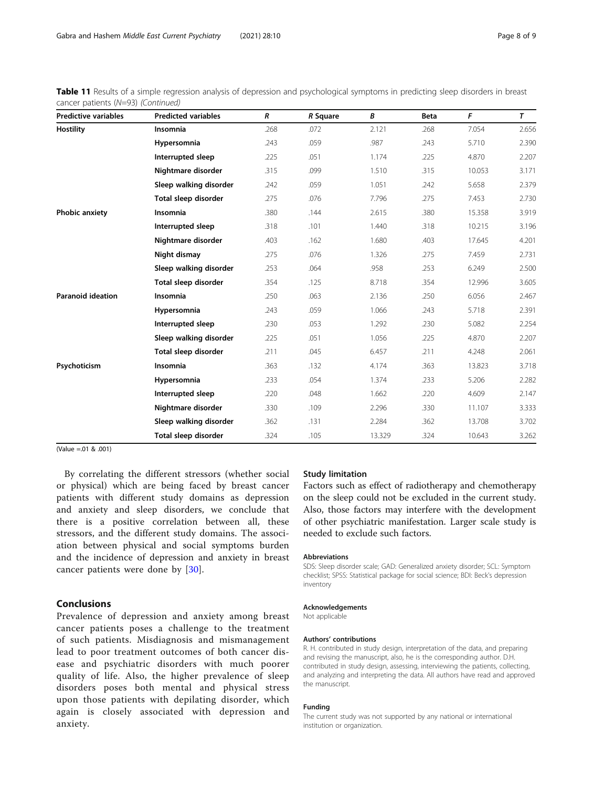Table 11 Results of a simple regression analysis of depression and psychological symptoms in predicting sleep disorders in breast cancer patients (N=93) (Continued)

| <b>Predictive variables</b> | <b>Predicted variables</b> | R    | R Square | В      | Beta | F      | T     |
|-----------------------------|----------------------------|------|----------|--------|------|--------|-------|
| <b>Hostility</b>            | Insomnia                   | .268 | .072     | 2.121  | .268 | 7.054  | 2.656 |
|                             | Hypersomnia                | .243 | .059     | .987   | .243 | 5.710  | 2.390 |
|                             | Interrupted sleep          | .225 | .051     | 1.174  | .225 | 4.870  | 2.207 |
|                             | Nightmare disorder         | .315 | .099     | 1.510  | .315 | 10.053 | 3.171 |
|                             | Sleep walking disorder     | .242 | .059     | 1.051  | .242 | 5.658  | 2.379 |
|                             | Total sleep disorder       | .275 | .076     | 7.796  | .275 | 7.453  | 2.730 |
| <b>Phobic anxiety</b>       | Insomnia                   | .380 | .144     | 2.615  | .380 | 15.358 | 3.919 |
|                             | Interrupted sleep          | .318 | .101     | 1.440  | .318 | 10.215 | 3.196 |
|                             | Nightmare disorder         | .403 | .162     | 1.680  | .403 | 17.645 | 4.201 |
|                             | Night dismay               | .275 | .076     | 1.326  | .275 | 7.459  | 2.731 |
|                             | Sleep walking disorder     | .253 | .064     | .958   | .253 | 6.249  | 2.500 |
|                             | Total sleep disorder       | .354 | .125     | 8.718  | .354 | 12.996 | 3.605 |
| <b>Paranoid ideation</b>    | Insomnia                   | .250 | .063     | 2.136  | .250 | 6.056  | 2.467 |
|                             | Hypersomnia                | .243 | .059     | 1.066  | .243 | 5.718  | 2.391 |
|                             | Interrupted sleep          | .230 | .053     | 1.292  | .230 | 5.082  | 2.254 |
|                             | Sleep walking disorder     | .225 | .051     | 1.056  | .225 | 4.870  | 2.207 |
|                             | Total sleep disorder       | .211 | .045     | 6.457  | .211 | 4.248  | 2.061 |
| Psychoticism                | Insomnia                   | .363 | .132     | 4.174  | .363 | 13.823 | 3.718 |
|                             | Hypersomnia                | .233 | .054     | 1.374  | .233 | 5.206  | 2.282 |
|                             | Interrupted sleep          | .220 | .048     | 1.662  | .220 | 4.609  | 2.147 |
|                             | Nightmare disorder         | .330 | .109     | 2.296  | .330 | 11.107 | 3.333 |
|                             | Sleep walking disorder     | .362 | .131     | 2.284  | .362 | 13.708 | 3.702 |
|                             | Total sleep disorder       | .324 | .105     | 13.329 | .324 | 10.643 | 3.262 |

(Value =.01 & .001)

By correlating the different stressors (whether social or physical) which are being faced by breast cancer patients with different study domains as depression and anxiety and sleep disorders, we conclude that there is a positive correlation between all, these stressors, and the different study domains. The association between physical and social symptoms burden and the incidence of depression and anxiety in breast cancer patients were done by [[30\]](#page-8-0).

# Conclusions

Prevalence of depression and anxiety among breast cancer patients poses a challenge to the treatment of such patients. Misdiagnosis and mismanagement lead to poor treatment outcomes of both cancer disease and psychiatric disorders with much poorer quality of life. Also, the higher prevalence of sleep disorders poses both mental and physical stress upon those patients with depilating disorder, which again is closely associated with depression and anxiety.

# Study limitation

Factors such as effect of radiotherapy and chemotherapy on the sleep could not be excluded in the current study. Also, those factors may interfere with the development of other psychiatric manifestation. Larger scale study is needed to exclude such factors.

## Abbreviations

SDS: Sleep disorder scale; GAD: Generalized anxiety disorder; SCL: Symptom checklist; SPSS: Statistical package for social science; BDI: Beck's depression inventory

#### Acknowledgements

Not applicable

#### Authors' contributions

R. H. contributed in study design, interpretation of the data, and preparing and revising the manuscript, also, he is the corresponding author. D.H. contributed in study design, assessing, interviewing the patients, collecting, and analyzing and interpreting the data. All authors have read and approved the manuscript.

#### Funding

The current study was not supported by any national or international institution or organization.